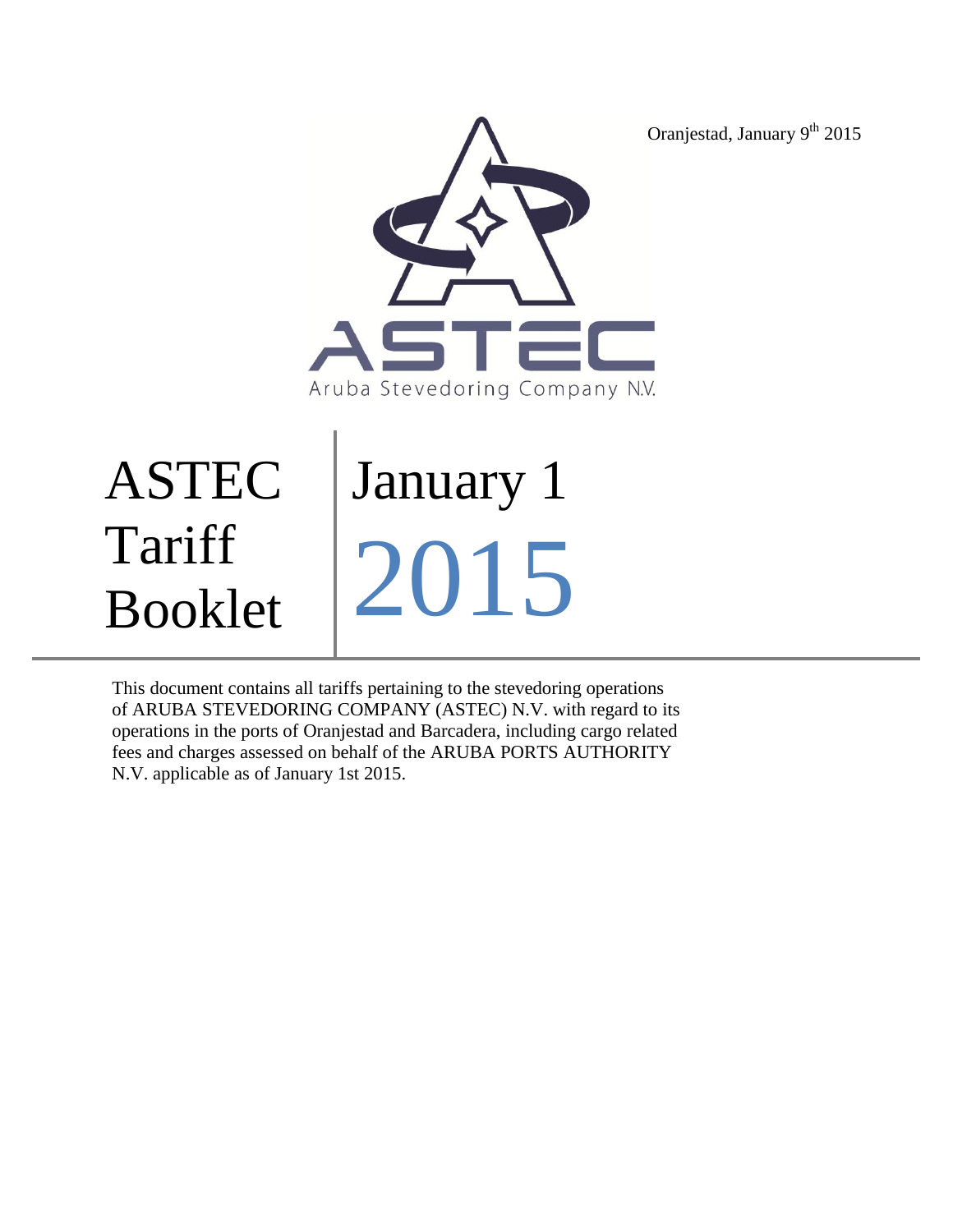Oranjestad, January 9<sup>th</sup> 2015



# ASTEC Tariff Booklet January 1 2015

This document contains all tariffs pertaining to the stevedoring operations of ARUBA STEVEDORING COMPANY (ASTEC) N.V. with regard to its operations in the ports of Oranjestad and Barcadera, including cargo related fees and charges assessed on behalf of the ARUBA PORTS AUTHORITY N.V. applicable as of January 1st 2015.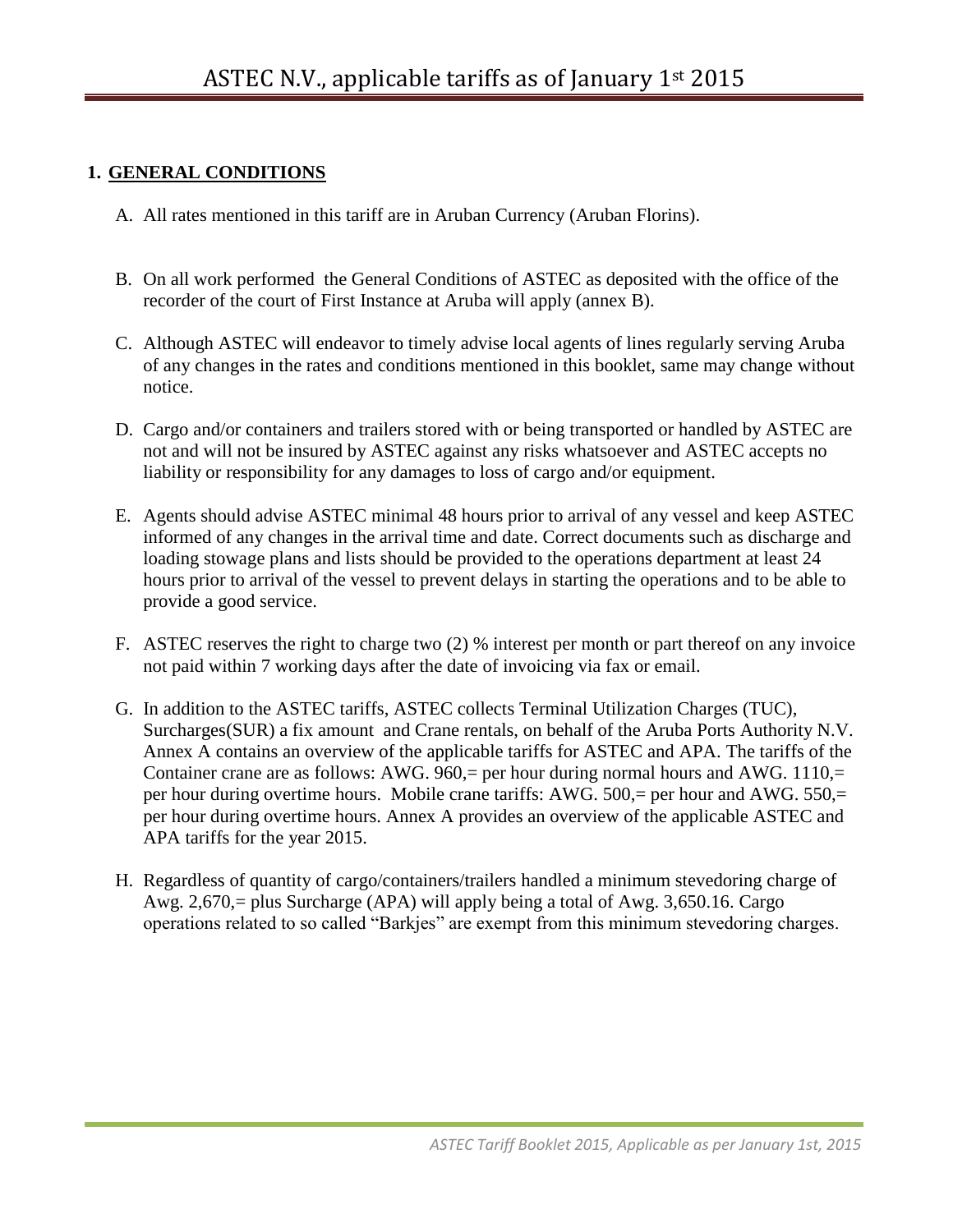#### **1. GENERAL CONDITIONS**

- A. All rates mentioned in this tariff are in Aruban Currency (Aruban Florins).
- B. On all work performed the General Conditions of ASTEC as deposited with the office of the recorder of the court of First Instance at Aruba will apply (annex B).
- C. Although ASTEC will endeavor to timely advise local agents of lines regularly serving Aruba of any changes in the rates and conditions mentioned in this booklet, same may change without notice.
- D. Cargo and/or containers and trailers stored with or being transported or handled by ASTEC are not and will not be insured by ASTEC against any risks whatsoever and ASTEC accepts no liability or responsibility for any damages to loss of cargo and/or equipment.
- E. Agents should advise ASTEC minimal 48 hours prior to arrival of any vessel and keep ASTEC informed of any changes in the arrival time and date. Correct documents such as discharge and loading stowage plans and lists should be provided to the operations department at least 24 hours prior to arrival of the vessel to prevent delays in starting the operations and to be able to provide a good service.
- F. ASTEC reserves the right to charge two (2) % interest per month or part thereof on any invoice not paid within 7 working days after the date of invoicing via fax or email.
- G. In addition to the ASTEC tariffs, ASTEC collects Terminal Utilization Charges (TUC), Surcharges(SUR) a fix amount and Crane rentals, on behalf of the Aruba Ports Authority N.V. Annex A contains an overview of the applicable tariffs for ASTEC and APA. The tariffs of the Container crane are as follows: AWG. 960,= per hour during normal hours and AWG.  $1110$ ,= per hour during overtime hours. Mobile crane tariffs: AWG. 500,= per hour and AWG. 550,= per hour during overtime hours. Annex A provides an overview of the applicable ASTEC and APA tariffs for the year 2015.
- H. Regardless of quantity of cargo/containers/trailers handled a minimum stevedoring charge of Awg. 2,670,= plus Surcharge (APA) will apply being a total of Awg. 3,650.16. Cargo operations related to so called "Barkjes" are exempt from this minimum stevedoring charges.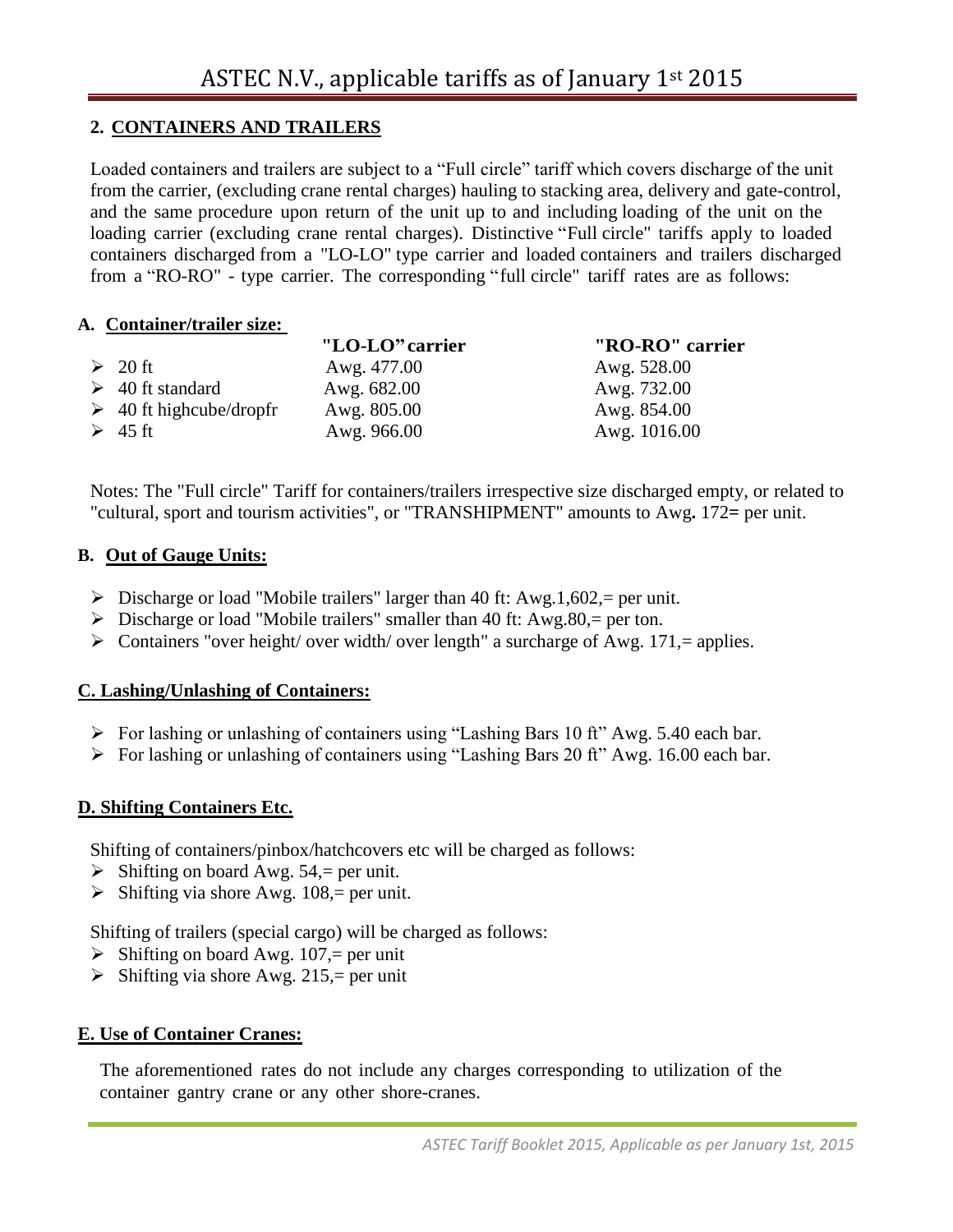## **2. CONTAINERS AND TRAILERS**

Loaded containers and trailers are subject to a "Full circle" tariff which covers discharge of the unit from the carrier, (excluding crane rental charges) hauling to stacking area, delivery and gate-control, and the same procedure upon return of the unit up to and including loading of the unit on the loading carrier (excluding crane rental charges). Distinctive "Full circle" tariffs apply to loaded containers discharged from a "LO-LO" type carrier and loaded containers and trailers discharged from a "RO-RO" - type carrier. The corresponding "full circle" tariff rates are as follows:

#### **A. Container/trailer size:**

|                              | "LO-LO" carrier | "RO-RO" carrier |
|------------------------------|-----------------|-----------------|
| $\geq 20$ ft                 | Awg. 477.00     | Awg. 528.00     |
| $\geq 40$ ft standard        | Awg. 682.00     | Awg. 732.00     |
| $\geq$ 40 ft highcube/dropfr | Awg. 805.00     | Awg. 854.00     |
| $\geq 45$ ft                 | Awg. 966.00     | Awg. 1016.00    |

Notes: The "Full circle" Tariff for containers/trailers irrespective size discharged empty, or related to "cultural, sport and tourism activities", or "TRANSHIPMENT" amounts to Awg**.** 172**=** per unit.

#### **B. Out of Gauge Units:**

- $\triangleright$  Discharge or load "Mobile trailers" larger than 40 ft: Awg.1,602,= per unit.
- $\triangleright$  Discharge or load "Mobile trailers" smaller than 40 ft: Awg.80, = per ton.
- $\triangleright$  Containers "over height/ over width/ over length" a surcharge of Awg. 171,= applies.

## **C. Lashing/Unlashing of Containers:**

- For lashing or unlashing of containers using "Lashing Bars 10 ft" Awg. 5.40 each bar.
- $\triangleright$  For lashing or unlashing of containers using "Lashing Bars 20 ft" Awg. 16.00 each bar.

## **D. Shifting Containers Etc.**

Shifting of containers/pinbox/hatchcovers etc will be charged as follows:

- $\triangleright$  Shifting on board Awg. 54, per unit.
- $\triangleright$  Shifting via shore Awg. 108, = per unit.

Shifting of trailers (special cargo) will be charged as follows:

- $\triangleright$  Shifting on board Awg. 107,= per unit
- $\triangleright$  Shifting via shore Awg. 215,= per unit

## **E. Use of Container Cranes:**

The aforementioned rates do not include any charges corresponding to utilization of the container gantry crane or any other shore-cranes.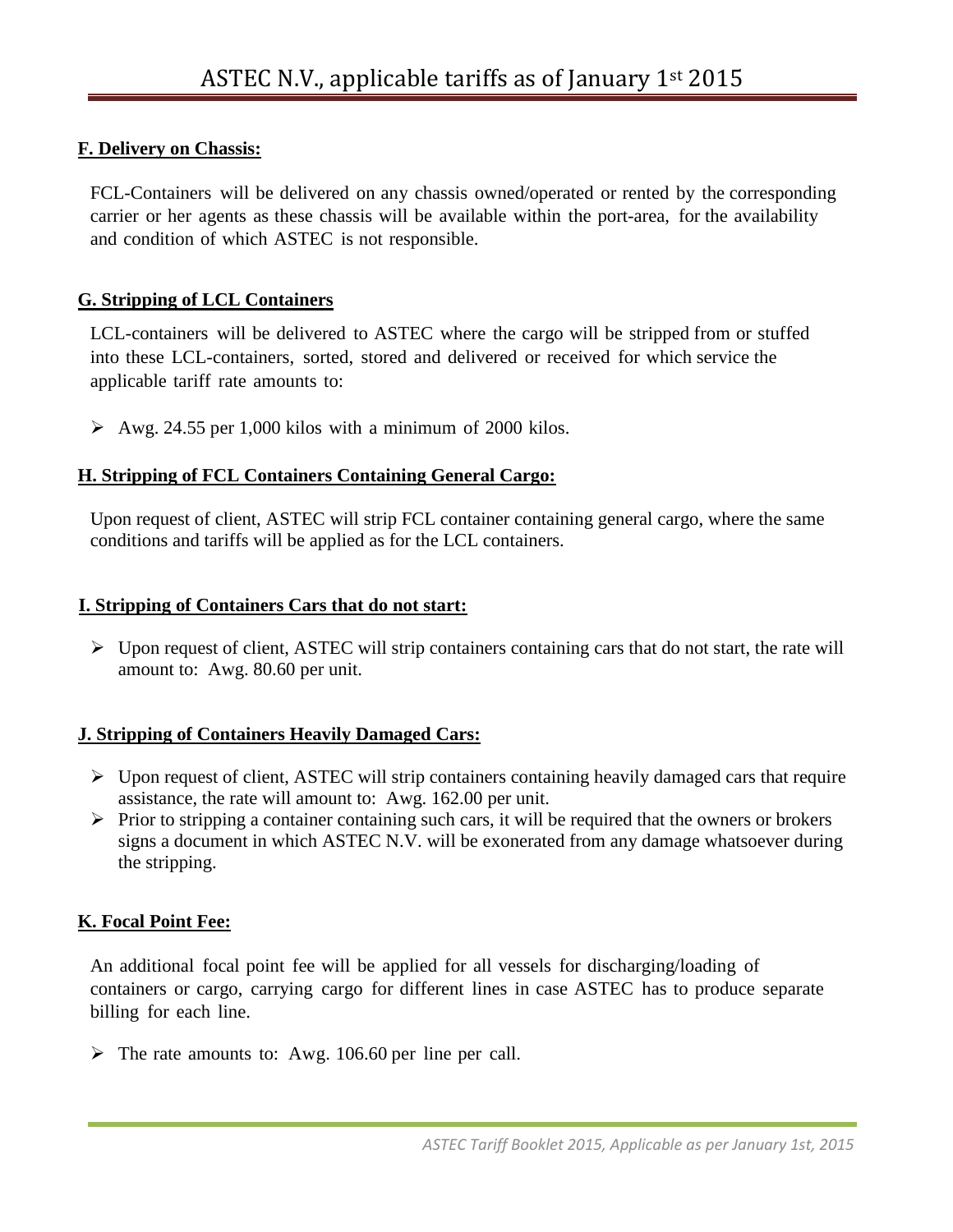## **F. Delivery on Chassis:**

FCL-Containers will be delivered on any chassis owned/operated or rented by the corresponding carrier or her agents as these chassis will be available within the port-area, for the availability and condition of which ASTEC is not responsible.

#### **G. Stripping of LCL Containers**

LCL-containers will be delivered to ASTEC where the cargo will be stripped from or stuffed into these LCL-containers, sorted, stored and delivered or received for which service the applicable tariff rate amounts to:

 $\geq$  Awg. 24.55 per 1,000 kilos with a minimum of 2000 kilos.

#### **H. Stripping of FCL Containers Containing General Cargo:**

Upon request of client, ASTEC will strip FCL container containing general cargo, where the same conditions and tariffs will be applied as for the LCL containers.

#### **I. Stripping of Containers Cars that do not start:**

 $\triangleright$  Upon request of client, ASTEC will strip containers containing cars that do not start, the rate will amount to: Awg. 80.60 per unit.

#### **J. Stripping of Containers Heavily Damaged Cars:**

- $\triangleright$  Upon request of client, ASTEC will strip containers containing heavily damaged cars that require assistance, the rate will amount to: Awg. 162.00 per unit.
- $\triangleright$  Prior to stripping a container containing such cars, it will be required that the owners or brokers signs a document in which ASTEC N.V. will be exonerated from any damage whatsoever during the stripping.

#### **K. Focal Point Fee:**

An additional focal point fee will be applied for all vessels for discharging/loading of containers or cargo, carrying cargo for different lines in case ASTEC has to produce separate billing for each line.

 $\triangleright$  The rate amounts to: Awg. 106.60 per line per call.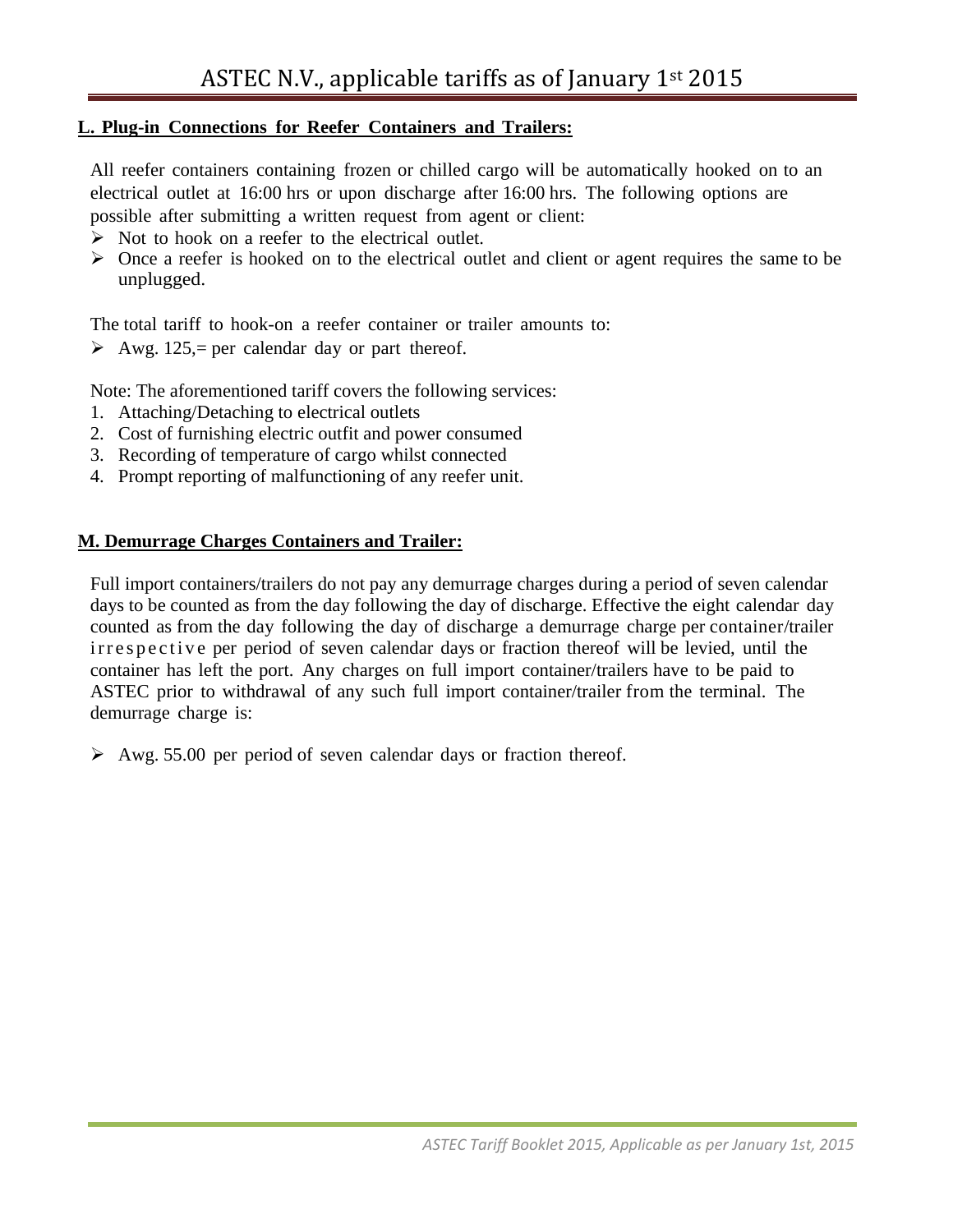#### **L. Plug-in Connections for Reefer Containers and Trailers:**

All reefer containers containing frozen or chilled cargo will be automatically hooked on to an electrical outlet at 16:00 hrs or upon discharge after 16:00 hrs. The following options are possible after submitting a written request from agent or client:

- $\triangleright$  Not to hook on a reefer to the electrical outlet.
- $\triangleright$  Once a reefer is hooked on to the electrical outlet and client or agent requires the same to be unplugged.

The total tariff to hook-on a reefer container or trailer amounts to:

Awg. 125,= per calendar day or part thereof.

Note: The aforementioned tariff covers the following services:

- 1. Attaching/Detaching to electrical outlets
- 2. Cost of furnishing electric outfit and power consumed
- 3. Recording of temperature of cargo whilst connected
- 4. Prompt reporting of malfunctioning of any reefer unit.

#### **M. Demurrage Charges Containers and Trailer:**

Full import containers/trailers do not pay any demurrage charges during a period of seven calendar days to be counted as from the day following the day of discharge. Effective the eight calendar day counted as from the day following the day of discharge a demurrage charge per container/trailer ir respective per period of seven calendar days or fraction thereof will be levied, until the container has left the port. Any charges on full import container/trailers have to be paid to ASTEC prior to withdrawal of any such full import container/trailer from the terminal. The demurrage charge is:

 $\geq$  Awg. 55.00 per period of seven calendar days or fraction thereof.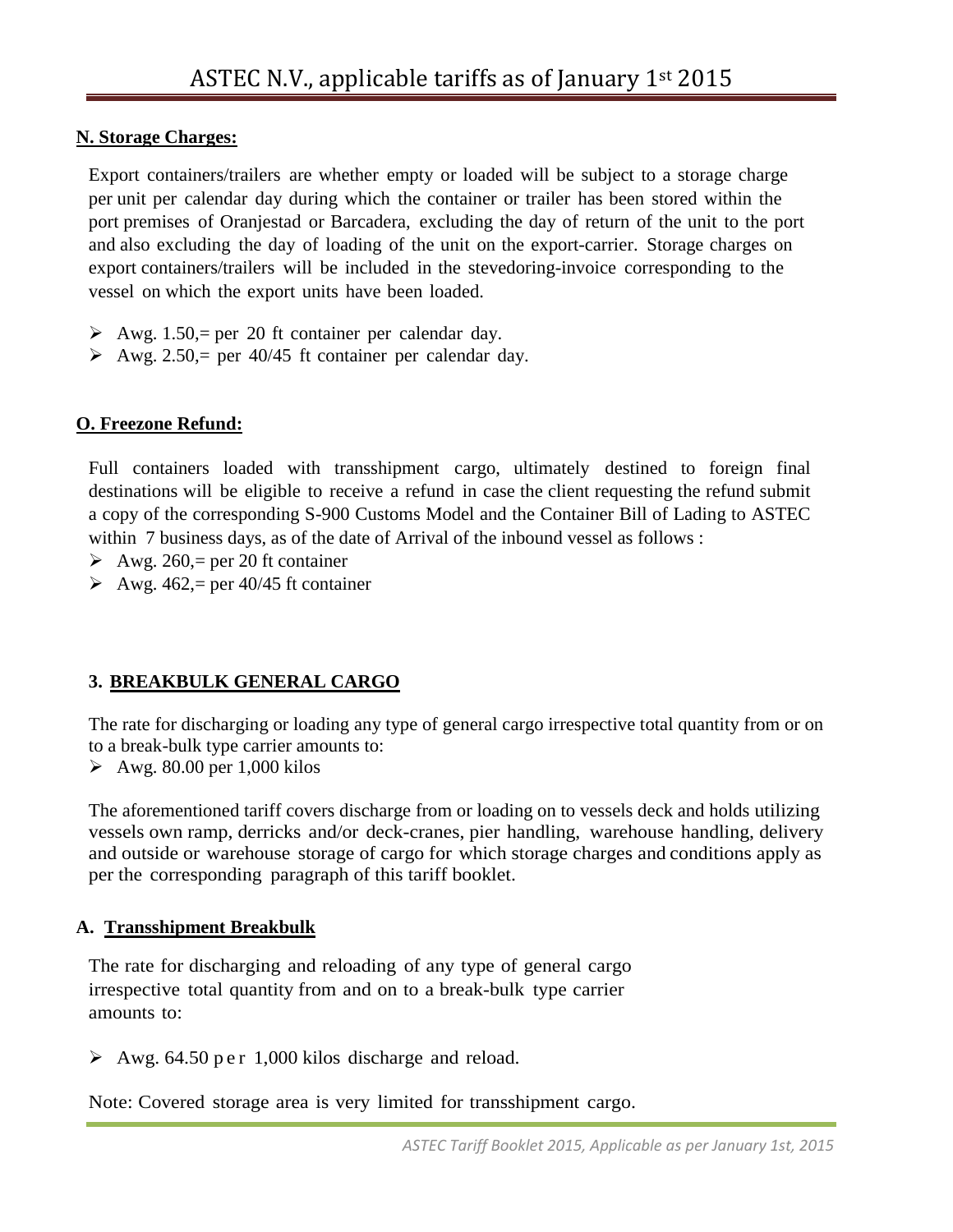#### **N. Storage Charges:**

Export containers/trailers are whether empty or loaded will be subject to a storage charge per unit per calendar day during which the container or trailer has been stored within the port premises of Oranjestad or Barcadera, excluding the day of return of the unit to the port and also excluding the day of loading of the unit on the export-carrier. Storage charges on export containers/trailers will be included in the stevedoring-invoice corresponding to the vessel on which the export units have been loaded.

- Awg. 1.50, = per 20 ft container per calendar day.
- Awg. 2.50, = per 40/45 ft container per calendar day.

## **O. Freezone Refund:**

Full containers loaded with transshipment cargo, ultimately destined to foreign final destinations will be eligible to receive a refund in case the client requesting the refund submit a copy of the corresponding S-900 Customs Model and the Container Bill of Lading to ASTEC within 7 business days, as of the date of Arrival of the inbound vessel as follows :

- $\triangleright$  Awg. 260, = per 20 ft container
- Awg. 462,= per 40/45 ft container

# **3. BREAKBULK GENERAL CARGO**

The rate for discharging or loading any type of general cargo irrespective total quantity from or on to a break-bulk type carrier amounts to:

 $\geq$  Awg. 80.00 per 1,000 kilos

The aforementioned tariff covers discharge from or loading on to vessels deck and holds utilizing vessels own ramp, derricks and/or deck-cranes, pier handling, warehouse handling, delivery and outside or warehouse storage of cargo for which storage charges and conditions apply as per the corresponding paragraph of this tariff booklet.

## **A. Transshipment Breakbulk**

The rate for discharging and reloading of any type of general cargo irrespective total quantity from and on to a break-bulk type carrier amounts to:

 $\geq$  Awg. 64.50 p e r 1,000 kilos discharge and reload.

Note: Covered storage area is very limited for transshipment cargo.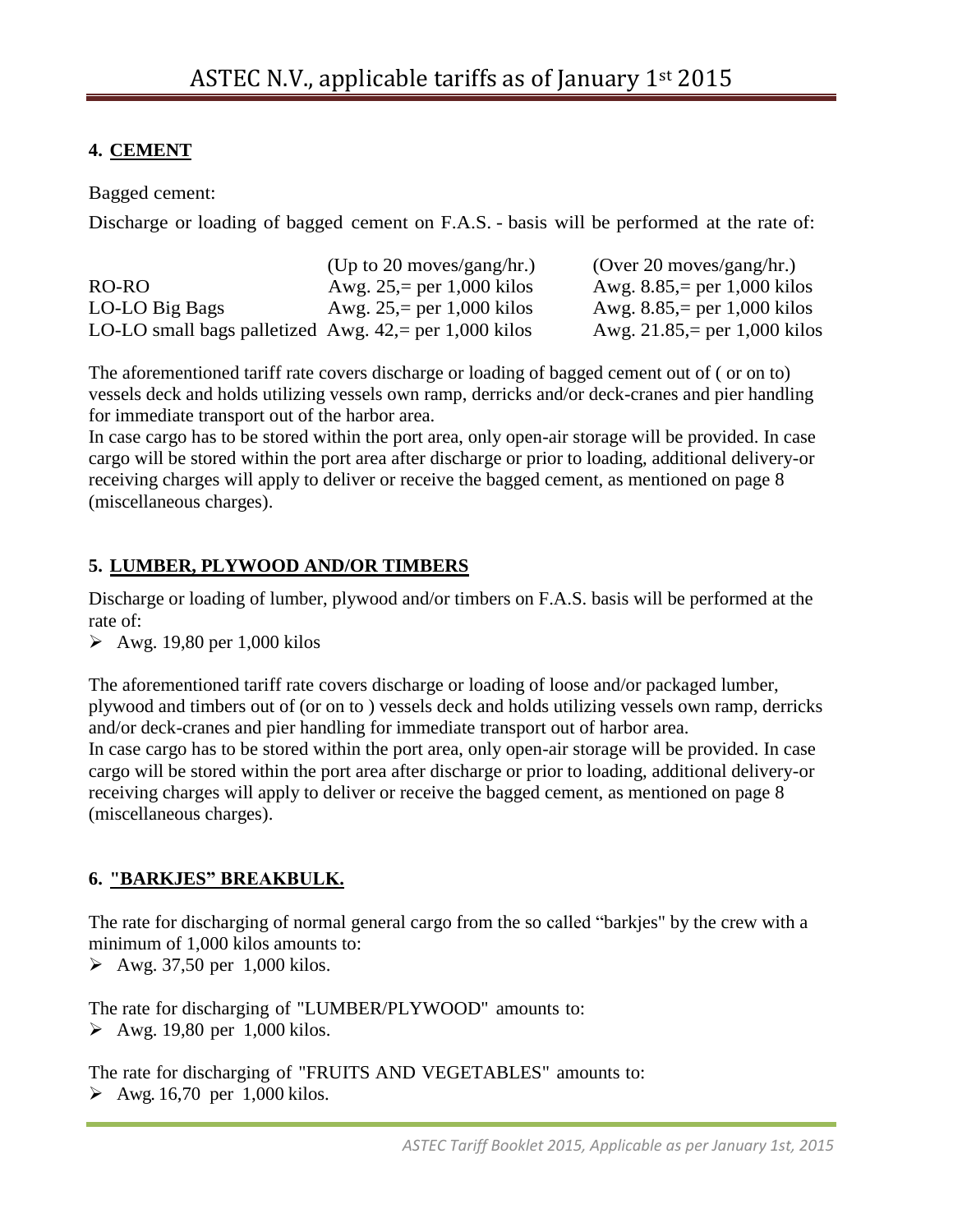# **4. CEMENT**

Bagged cement:

Discharge or loading of bagged cement on F.A.S. - basis will be performed at the rate of:

|                                                         | (Up to 20 moves/gang/hr.)   | (Over 20 moves/gang/hr.)      |
|---------------------------------------------------------|-----------------------------|-------------------------------|
| RO-RO                                                   | Awg. $25 = per 1,000$ kilos | Awg. $8.85$ , per 1,000 kilos |
| LO-LO Big Bags                                          | Awg. $25 = per 1,000$ kilos | Awg. $8.85$ , per 1,000 kilos |
| LO-LO small bags palletized Awg. $42$ , per 1,000 kilos |                             | Awg. 21.85,= per 1,000 kilos  |

The aforementioned tariff rate covers discharge or loading of bagged cement out of ( or on to) vessels deck and holds utilizing vessels own ramp, derricks and/or deck-cranes and pier handling for immediate transport out of the harbor area.

In case cargo has to be stored within the port area, only open-air storage will be provided. In case cargo will be stored within the port area after discharge or prior to loading, additional delivery-or receiving charges will apply to deliver or receive the bagged cement, as mentioned on page 8 (miscellaneous charges).

# **5. LUMBER, PLYWOOD AND/OR TIMBERS**

Discharge or loading of lumber, plywood and/or timbers on F.A.S. basis will be performed at the rate of:

 $\geq$  Awg. 19,80 per 1,000 kilos

The aforementioned tariff rate covers discharge or loading of loose and/or packaged lumber, plywood and timbers out of (or on to ) vessels deck and holds utilizing vessels own ramp, derricks and/or deck-cranes and pier handling for immediate transport out of harbor area. In case cargo has to be stored within the port area, only open-air storage will be provided. In case cargo will be stored within the port area after discharge or prior to loading, additional delivery-or receiving charges will apply to deliver or receive the bagged cement, as mentioned on page 8 (miscellaneous charges).

# **6. "BARKJES" BREAKBULK.**

The rate for discharging of normal general cargo from the so called "barkjes" by the crew with a minimum of 1,000 kilos amounts to:

 $\blacktriangleright$  Awg. 37,50 per 1,000 kilos.

The rate for discharging of "LUMBER/PLYWOOD" amounts to:  $\blacktriangleright$  Awg. 19,80 per 1,000 kilos.

The rate for discharging of "FRUITS AND VEGETABLES" amounts to:  $\blacktriangleright$  Awg. 16,70 per 1,000 kilos.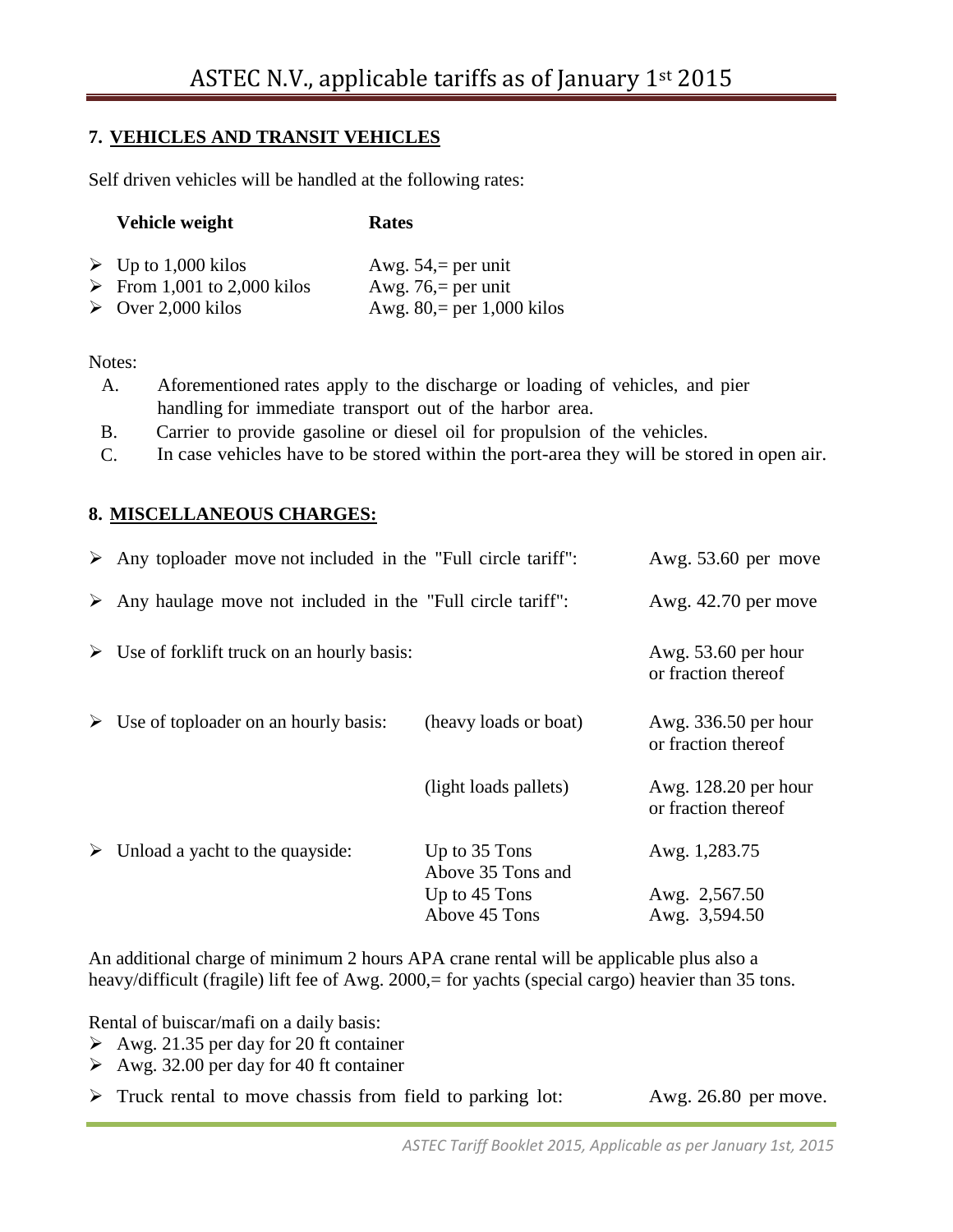## **7. VEHICLES AND TRANSIT VEHICLES**

Self driven vehicles will be handled at the following rates:

| Vehicle weight                                                  | Rates                                            |
|-----------------------------------------------------------------|--------------------------------------------------|
| $\triangleright$ Up to 1,000 kilos<br>From 1,001 to 2,000 kilos | Awg. $54$ , = per unit<br>Awg. $76$ , = per unit |
| $\triangleright$ Over 2,000 kilos                               | Awg. $80$ , = per 1,000 kilos                    |

#### Notes:

- A. Aforementioned rates apply to the discharge or loading of vehicles, and pier handling for immediate transport out of the harbor area.
- B. Carrier to provide gasoline or diesel oil for propulsion of the vehicles.
- C. In case vehicles have to be stored within the port-area they will be stored in open air.

#### **8. MISCELLANEOUS CHARGES:**

|   | $\triangleright$ Any toploader move not included in the "Full circle tariff": |                                    | Awg. $53.60$ per move                         |
|---|-------------------------------------------------------------------------------|------------------------------------|-----------------------------------------------|
|   | $\triangleright$ Any haulage move not included in the "Full circle tariff":   |                                    | Awg. $42.70$ per move                         |
|   | $\triangleright$ Use of forklift truck on an hourly basis:                    |                                    | Awg. $53.60$ per hour<br>or fraction thereof  |
|   | $\triangleright$ Use of toploader on an hourly basis:                         | (heavy loads or boat)              | Awg. 336.50 per hour<br>or fraction thereof   |
|   |                                                                               | (light loads pallets)              | Awg. $128.20$ per hour<br>or fraction thereof |
| ≻ | Unload a yacht to the quayside:                                               | Up to 35 Tons<br>Above 35 Tons and | Awg. 1,283.75                                 |
|   |                                                                               | Up to 45 Tons                      | Awg. 2,567.50                                 |
|   |                                                                               | Above 45 Tons                      | Awg. 3,594.50                                 |

An additional charge of minimum 2 hours APA crane rental will be applicable plus also a heavy/difficult (fragile) lift fee of Awg. 2000,= for yachts (special cargo) heavier than 35 tons.

Rental of buiscar/mafi on a daily basis:

- Awg. 21.35 per day for 20 ft container
- Awg. 32.00 per day for 40 ft container
- Truck rental to move chassis from field to parking lot: Awg. 26.80 per move.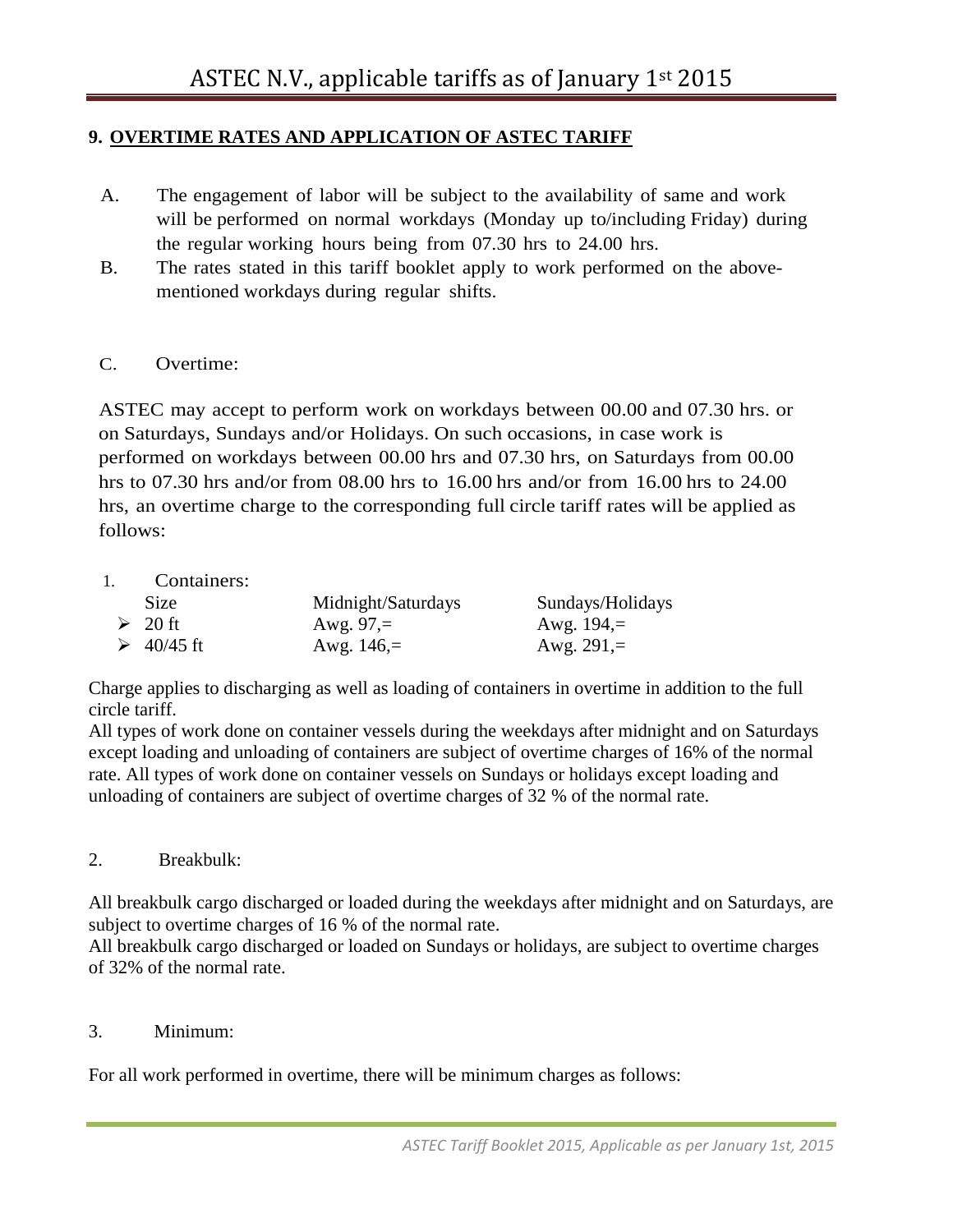## **9. OVERTIME RATES AND APPLICATION OF ASTEC TARIFF**

- A. The engagement of labor will be subject to the availability of same and work will be performed on normal workdays (Monday up to/including Friday) during the regular working hours being from 07.30 hrs to 24.00 hrs.
- B. The rates stated in this tariff booklet apply to work performed on the abovementioned workdays during regular shifts.

#### C. Overtime:

ASTEC may accept to perform work on workdays between 00.00 and 07.30 hrs. or on Saturdays, Sundays and/or Holidays. On such occasions, in case work is performed on workdays between 00.00 hrs and 07.30 hrs, on Saturdays from 00.00 hrs to 07.30 hrs and/or from 08.00 hrs to 16.00 hrs and/or from 16.00 hrs to 24.00 hrs, an overtime charge to the corresponding full circle tariff rates will be applied as follows:

1. Containers:

| <b>Size</b>       | Midnight/Saturdays | Sundays/Holidays |
|-------------------|--------------------|------------------|
| $\geqslant 20$ ft | Awg. $97 =$        | Awg. $194 =$     |
| $\geq 40/45$ ft   | Awg. $146 =$       | Awg. $291 =$     |

Charge applies to discharging as well as loading of containers in overtime in addition to the full circle tariff.

All types of work done on container vessels during the weekdays after midnight and on Saturdays except loading and unloading of containers are subject of overtime charges of 16% of the normal rate. All types of work done on container vessels on Sundays or holidays except loading and unloading of containers are subject of overtime charges of 32 % of the normal rate.

2. Breakbulk:

All breakbulk cargo discharged or loaded during the weekdays after midnight and on Saturdays, are subject to overtime charges of 16 % of the normal rate.

All breakbulk cargo discharged or loaded on Sundays or holidays, are subject to overtime charges of 32% of the normal rate.

#### 3. Minimum:

For all work performed in overtime, there will be minimum charges as follows: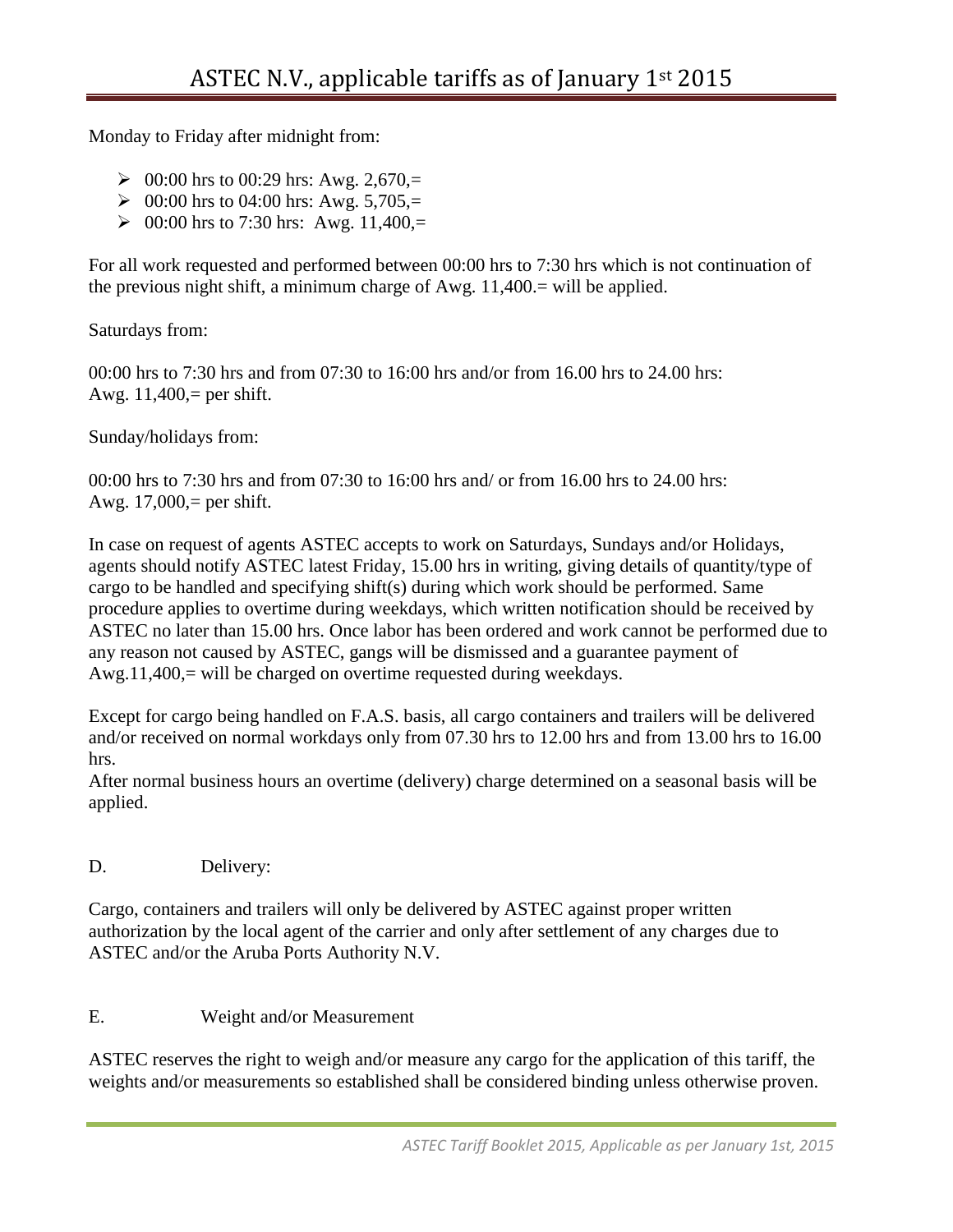Monday to Friday after midnight from:

- $\geq 00:00$  hrs to 00:29 hrs: Awg. 2,670,=
- $\geq 00:00$  hrs to 04:00 hrs: Awg. 5,705,=
- $\geq 00:00$  hrs to 7:30 hrs: Awg. 11,400,=

For all work requested and performed between 00:00 hrs to 7:30 hrs which is not continuation of the previous night shift, a minimum charge of Awg. 11,400.= will be applied.

Saturdays from:

00:00 hrs to 7:30 hrs and from 07:30 to 16:00 hrs and/or from 16.00 hrs to 24.00 hrs: Awg.  $11,400$ , = per shift.

Sunday/holidays from:

00:00 hrs to 7:30 hrs and from 07:30 to 16:00 hrs and/ or from 16.00 hrs to 24.00 hrs: Awg. 17,000,= per shift.

In case on request of agents ASTEC accepts to work on Saturdays, Sundays and/or Holidays, agents should notify ASTEC latest Friday, 15.00 hrs in writing, giving details of quantity/type of cargo to be handled and specifying shift(s) during which work should be performed. Same procedure applies to overtime during weekdays, which written notification should be received by ASTEC no later than 15.00 hrs. Once labor has been ordered and work cannot be performed due to any reason not caused by ASTEC, gangs will be dismissed and a guarantee payment of Awg.11,400,= will be charged on overtime requested during weekdays.

Except for cargo being handled on F.A.S. basis, all cargo containers and trailers will be delivered and/or received on normal workdays only from 07.30 hrs to 12.00 hrs and from 13.00 hrs to 16.00 hrs.

After normal business hours an overtime (delivery) charge determined on a seasonal basis will be applied.

D. Delivery:

Cargo, containers and trailers will only be delivered by ASTEC against proper written authorization by the local agent of the carrier and only after settlement of any charges due to ASTEC and/or the Aruba Ports Authority N.V.

E. Weight and/or Measurement

ASTEC reserves the right to weigh and/or measure any cargo for the application of this tariff, the weights and/or measurements so established shall be considered binding unless otherwise proven.